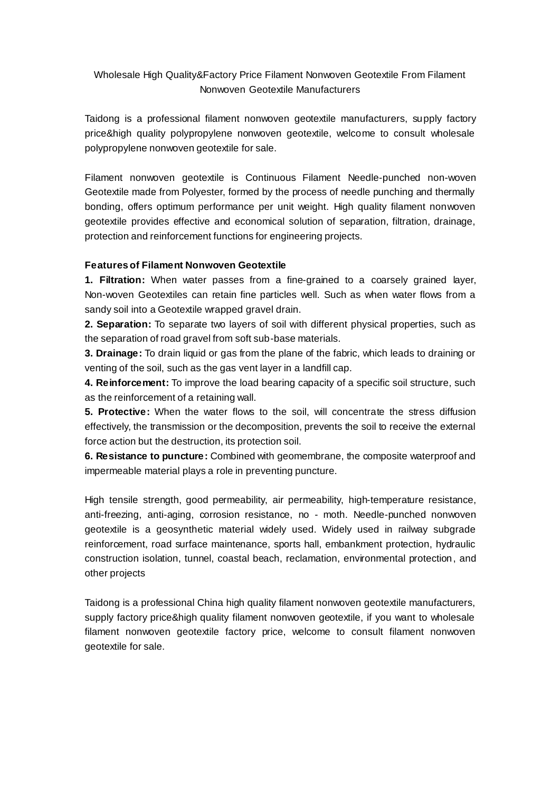# Wholesale High Quality&Factory Price Filament Nonwoven Geotextile From Filament Nonwoven Geotextile Manufacturers

Taidong is a professional filament nonwoven geotextile manufacturers, supply factory price&high quality polypropylene nonwoven geotextile, welcome to consult wholesale polypropylene nonwoven geotextile for sale.

Filament nonwoven geotextile is Continuous Filament Needle-punched non-woven Geotextile made from Polyester, formed by the process of needle punching and thermally bonding, offers optimum performance per unit weight. High quality filament nonwoven geotextile provides effective and economical solution of separation, filtration, drainage, protection and reinforcement functions for engineering projects.

## **Features of Filament Nonwoven Geotextile**

**1. Filtration:** When water passes from a fine-grained to a coarsely grained layer, Non-woven Geotextiles can retain fine particles well. Such as when water flows from a sandy soil into a Geotextile wrapped gravel drain.

**2. Separation:** To separate two layers of soil with different physical properties, such as the separation of road gravel from soft sub-base materials.

**3. Drainage:** To drain liquid or gas from the plane of the fabric, which leads to draining or venting of the soil, such as the gas vent layer in a landfill cap.

**4. Reinforcement:** To improve the load bearing capacity of a specific soil structure, such as the reinforcement of a retaining wall.

**5. Protective:** When the water flows to the soil, will concentrate the stress diffusion effectively, the transmission or the decomposition, prevents the soil to receive the external force action but the destruction, its protection soil.

**6. Resistance to puncture:** Combined with geomembrane, the composite waterproof and impermeable material plays a role in preventing puncture.

High tensile strength, good permeability, air permeability, high-temperature resistance, anti-freezing, anti-aging, corrosion resistance, no - moth. Needle-punched nonwoven geotextile is a geosynthetic material widely used. Widely used in railway subgrade reinforcement, road surface maintenance, sports hall, embankment protection, hydraulic construction isolation, tunnel, coastal beach, reclamation, environmental protection, and other projects

Taidong is a professional China high quality filament nonwoven geotextile manufacturers, supply factory price&high quality filament nonwoven geotextile, if you want to wholesale filament nonwoven geotextile factory price, welcome to consult filament nonwoven geotextile for sale.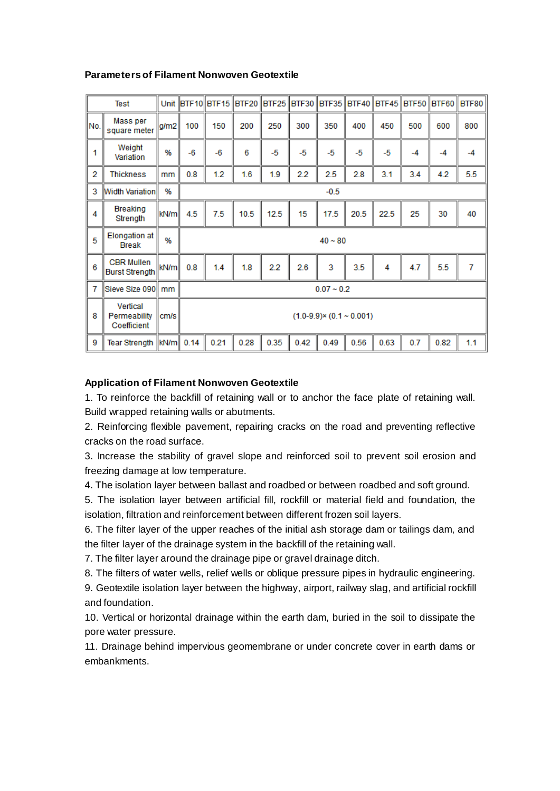## **Parameters of Filament Nonwoven Geotextile**

| <b>Test</b> |                                            |      |                                     | Unit  BTF10 BTF15  BTF20 |      |      |      | BTF25   BTF30   BTF35   BTF40   BTF45   BTF50   BTF60 |      |      |      |      | BTF80          |
|-------------|--------------------------------------------|------|-------------------------------------|--------------------------|------|------|------|-------------------------------------------------------|------|------|------|------|----------------|
| No.         | Mass per<br>square meter                   | g/m2 | 100                                 | 150                      | 200  | 250  | 300  | 350                                                   | 400  | 450  | 500  | 600  | 800            |
| 1           | Weight<br>Variation                        | %    | $-6$                                | $-6$                     | 6    | $-5$ | -5   | -5                                                    | $-5$ | -5   | $-4$ | $-4$ | $-4$           |
| 2           | Thickness                                  | mm   | 0.8                                 | 1.2                      | 1.6  | 1.9  | 2.2  | 2.5                                                   | 2.8  | 3.1  | 3.4  | 4.2  | 5.5            |
| 3           | <b>Width Variation</b>                     | %    | $-0.5$                              |                          |      |      |      |                                                       |      |      |      |      |                |
| 4           | Breaking<br>Strength                       | kN/m | 4.5                                 | 7.5                      | 10.5 | 12.5 | 15   | 17.5                                                  | 20.5 | 22.5 | 25   | 30   | 40             |
| 5           | <b>Elongation</b> at<br><b>Break</b>       | %    | $40 - 80$                           |                          |      |      |      |                                                       |      |      |      |      |                |
| 6           | <b>CBR Mullen</b><br><b>Burst Strength</b> | kN/m | 0.8                                 | 1.4                      | 1.8  | 2.2  | 2.6  | 3                                                     | 3.5  | 4    | 4.7  | 5.5  | $\overline{7}$ |
| 7           | Sieve Size 090                             | mm   | $0.07 - 0.2$                        |                          |      |      |      |                                                       |      |      |      |      |                |
| 8           | Vertical<br>Permeability<br>Coefficient    | cm/s | $(1.0-9.9) \times (0.1 \sim 0.001)$ |                          |      |      |      |                                                       |      |      |      |      |                |
| 9           | <b>Tear Strength</b>                       | kN/m | 0.14                                | 0.21                     | 0.28 | 0.35 | 0.42 | 0.49                                                  | 0.56 | 0.63 | 0.7  | 0.82 | 1.1            |

## **Application of Filament Nonwoven Geotextile**

1. To reinforce the backfill of retaining wall or to anchor the face plate of retaining wall. Build wrapped retaining walls or abutments.

2. Reinforcing flexible pavement, repairing cracks on the road and preventing reflective cracks on the road surface.

3. Increase the stability of gravel slope and reinforced soil to prevent soil erosion and freezing damage at low temperature.

4. The isolation layer between ballast and roadbed or between roadbed and soft ground.

5. The isolation layer between artificial fill, rockfill or material field and foundation, the isolation, filtration and reinforcement between different frozen soil layers.

6. The filter layer of the upper reaches of the initial ash storage dam or tailings dam, and the filter layer of the drainage system in the backfill of the retaining wall.

7. The filter layer around the drainage pipe or gravel drainage ditch.

8. The filters of water wells, relief wells or oblique pressure pipes in hydraulic engineering.

9. Geotextile isolation layer between the highway, airport, railway slag, and artificial rockfill and foundation.

10. Vertical or horizontal drainage within the earth dam, buried in the soil to dissipate the pore water pressure.

11. Drainage behind impervious geomembrane or under concrete cover in earth dams or embankments.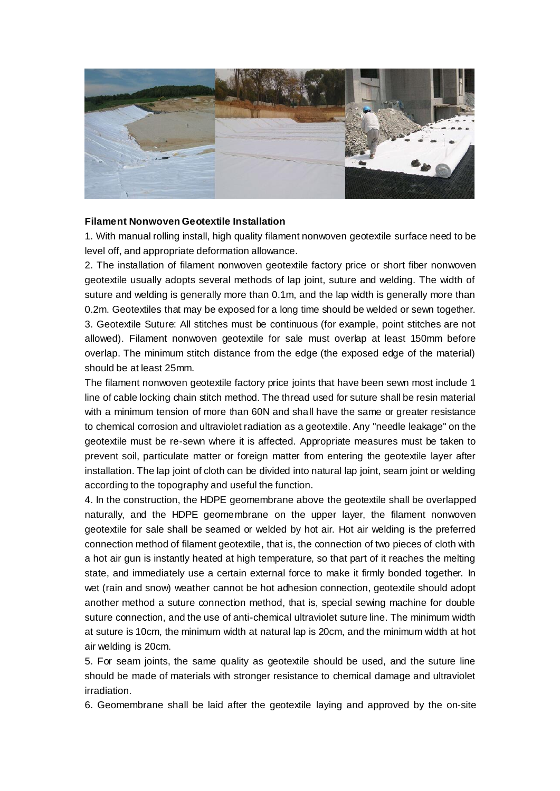

#### **Filament Nonwoven Geotextile Installation**

1. With manual rolling install, high quality filament nonwoven geotextile surface need to be level off, and appropriate deformation allowance.

2. The installation of filament nonwoven geotextile factory price or short fiber nonwoven geotextile usually adopts several methods of lap joint, suture and welding. The width of suture and welding is generally more than 0.1m, and the lap width is generally more than 0.2m. Geotextiles that may be exposed for a long time should be welded or sewn together. 3. Geotextile Suture: All stitches must be continuous (for example, point stitches are not allowed). Filament nonwoven geotextile for sale must overlap at least 150mm before overlap. The minimum stitch distance from the edge (the exposed edge of the material) should be at least 25mm.

The filament nonwoven geotextile factory price joints that have been sewn most include 1 line of cable locking chain stitch method. The thread used for suture shall be resin material with a minimum tension of more than 60N and shall have the same or greater resistance to chemical corrosion and ultraviolet radiation as a geotextile. Any "needle leakage" on the geotextile must be re-sewn where it is affected. Appropriate measures must be taken to prevent soil, particulate matter or foreign matter from entering the geotextile layer after installation. The lap joint of cloth can be divided into natural lap joint, seam joint or welding according to the topography and useful the function.

4. In the construction, the HDPE geomembrane above the geotextile shall be overlapped naturally, and the HDPE geomembrane on the upper layer, the filament nonwoven geotextile for sale shall be seamed or welded by hot air. Hot air welding is the preferred connection method of filament geotextile, that is, the connection of two pieces of cloth with a hot air gun is instantly heated at high temperature, so that part of it reaches the melting state, and immediately use a certain external force to make it firmly bonded together. In wet (rain and snow) weather cannot be hot adhesion connection, geotextile should adopt another method a suture connection method, that is, special sewing machine for double suture connection, and the use of anti-chemical ultraviolet suture line. The minimum width at suture is 10cm, the minimum width at natural lap is 20cm, and the minimum width at hot air welding is 20cm.

5. For seam joints, the same quality as geotextile should be used, and the suture line should be made of materials with stronger resistance to chemical damage and ultraviolet irradiation.

6. Geomembrane shall be laid after the geotextile laying and approved by the on-site